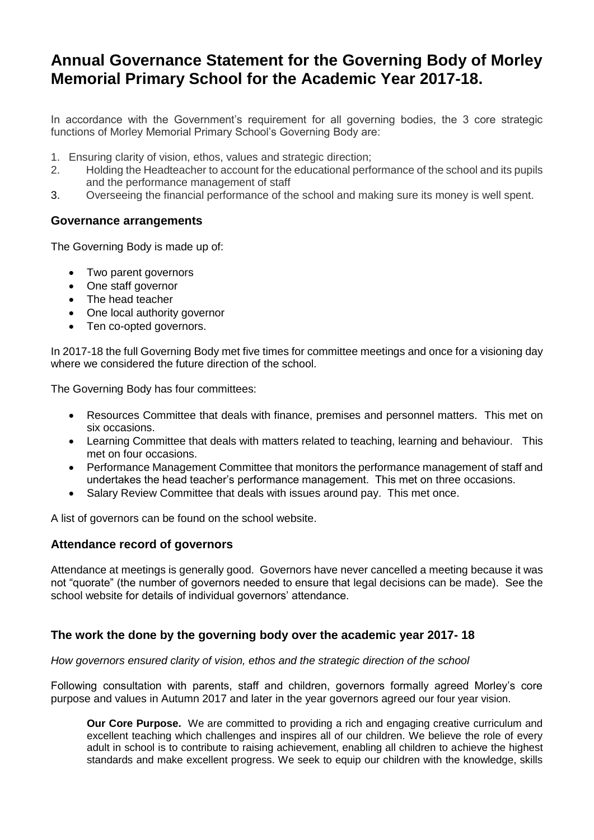# **Annual Governance Statement for the Governing Body of Morley Memorial Primary School for the Academic Year 2017-18.**

In accordance with the Government's requirement for all governing bodies, the 3 core strategic functions of Morley Memorial Primary School's Governing Body are:

- 1. Ensuring clarity of vision, ethos, values and strategic direction;
- 2. Holding the Headteacher to account for the educational performance of the school and its pupils and the performance management of staff
- 3. Overseeing the financial performance of the school and making sure its money is well spent.

### **Governance arrangements**

The Governing Body is made up of:

- Two parent governors
- One staff governor
- The head teacher
- One local authority governor
- Ten co-opted governors.

In 2017-18 the full Governing Body met five times for committee meetings and once for a visioning day where we considered the future direction of the school.

The Governing Body has four committees:

- Resources Committee that deals with finance, premises and personnel matters. This met on six occasions.
- Learning Committee that deals with matters related to teaching, learning and behaviour. This met on four occasions.
- Performance Management Committee that monitors the performance management of staff and undertakes the head teacher's performance management. This met on three occasions.
- Salary Review Committee that deals with issues around pay. This met once.

A list of governors can be found on the school website.

#### **Attendance record of governors**

Attendance at meetings is generally good. Governors have never cancelled a meeting because it was not "quorate" (the number of governors needed to ensure that legal decisions can be made). See the school website for details of individual governors' attendance.

### **The work the done by the governing body over the academic year 2017- 18**

#### *How governors ensured clarity of vision, ethos and the strategic direction of the school*

Following consultation with parents, staff and children, governors formally agreed Morley's core purpose and values in Autumn 2017 and later in the year governors agreed our four year vision.

**Our Core Purpose.** We are committed to providing a rich and engaging creative curriculum and excellent teaching which challenges and inspires all of our children. We believe the role of every adult in school is to contribute to raising achievement, enabling all children to achieve the highest standards and make excellent progress. We seek to equip our children with the knowledge, skills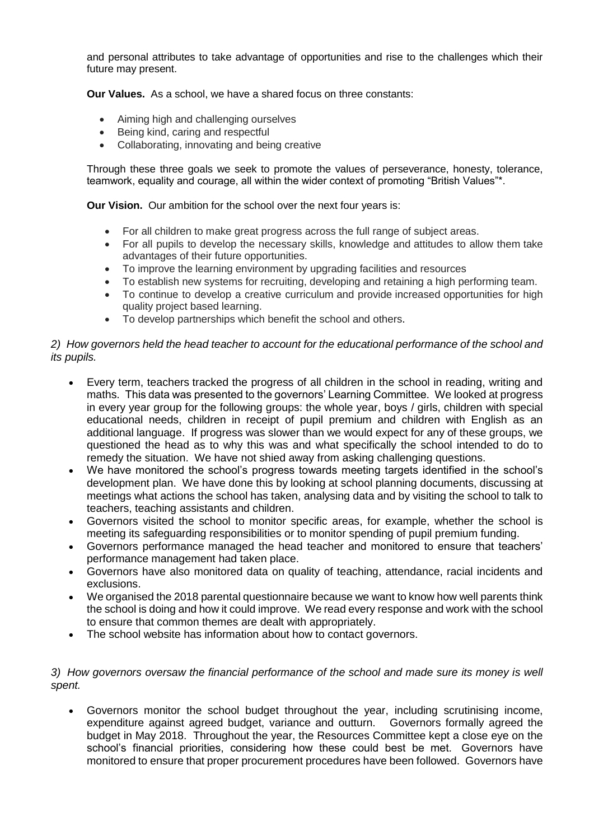and personal attributes to take advantage of opportunities and rise to the challenges which their future may present.

**Our Values.** As a school, we have a shared focus on three constants:

- Aiming high and challenging ourselves
- Being kind, caring and respectful
- Collaborating, innovating and being creative

Through these three goals we seek to promote the values of perseverance, honesty, tolerance, teamwork, equality and courage, all within the wider context of promoting "British Values"\*.

**Our Vision.** Our ambition for the school over the next four years is:

- For all children to make great progress across the full range of subject areas.
- For all pupils to develop the necessary skills, knowledge and attitudes to allow them take advantages of their future opportunities.
- To improve the learning environment by upgrading facilities and resources
- To establish new systems for recruiting, developing and retaining a high performing team.
- To continue to develop a creative curriculum and provide increased opportunities for high quality project based learning.
- To develop partnerships which benefit the school and others.

#### *2) How governors held the head teacher to account for the educational performance of the school and its pupils.*

- Every term, teachers tracked the progress of all children in the school in reading, writing and maths. This data was presented to the governors' Learning Committee. We looked at progress in every year group for the following groups: the whole year, boys / girls, children with special educational needs, children in receipt of pupil premium and children with English as an additional language. If progress was slower than we would expect for any of these groups, we questioned the head as to why this was and what specifically the school intended to do to remedy the situation. We have not shied away from asking challenging questions.
- We have monitored the school's progress towards meeting targets identified in the school's development plan. We have done this by looking at school planning documents, discussing at meetings what actions the school has taken, analysing data and by visiting the school to talk to teachers, teaching assistants and children.
- Governors visited the school to monitor specific areas, for example, whether the school is meeting its safeguarding responsibilities or to monitor spending of pupil premium funding.
- Governors performance managed the head teacher and monitored to ensure that teachers' performance management had taken place.
- Governors have also monitored data on quality of teaching, attendance, racial incidents and exclusions.
- We organised the 2018 parental questionnaire because we want to know how well parents think the school is doing and how it could improve. We read every response and work with the school to ensure that common themes are dealt with appropriately.
- The school website has information about how to contact governors.

#### *3) How governors oversaw the financial performance of the school and made sure its money is well spent.*

• Governors monitor the school budget throughout the year, including scrutinising income, expenditure against agreed budget, variance and outturn. Governors formally agreed the budget in May 2018. Throughout the year, the Resources Committee kept a close eye on the school's financial priorities, considering how these could best be met. Governors have monitored to ensure that proper procurement procedures have been followed. Governors have